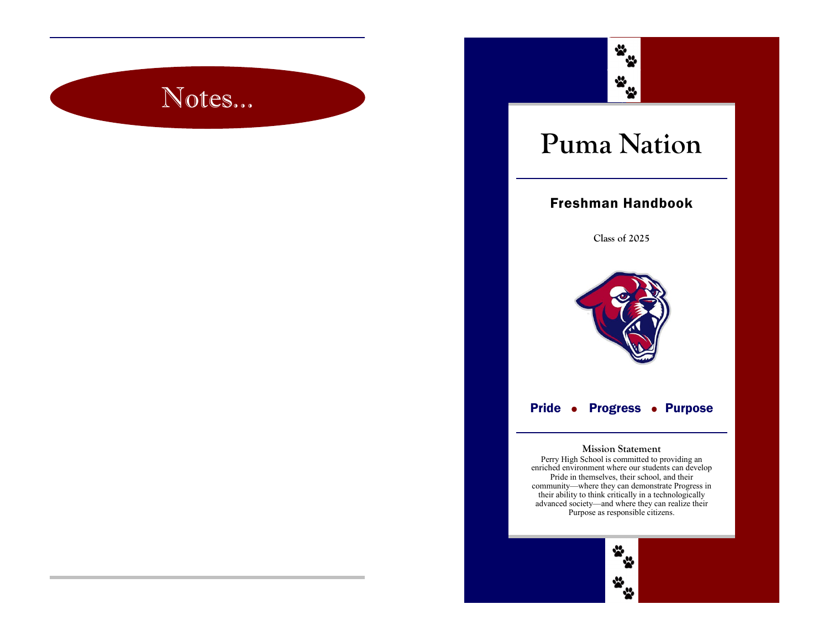# Notes...



## **Puma Nation**

#### Freshman Handbook

**Class of 2025**



#### Pride • Progress • Purpose

#### **Mission Statement**

Perry High School is committed to providing an enriched environment where our students can develop Pride in themselves, their school, and their community—where they can demonstrate Progress in their ability to think critically in a technologically advanced society—and where they can realize their Purpose as responsible citizens.

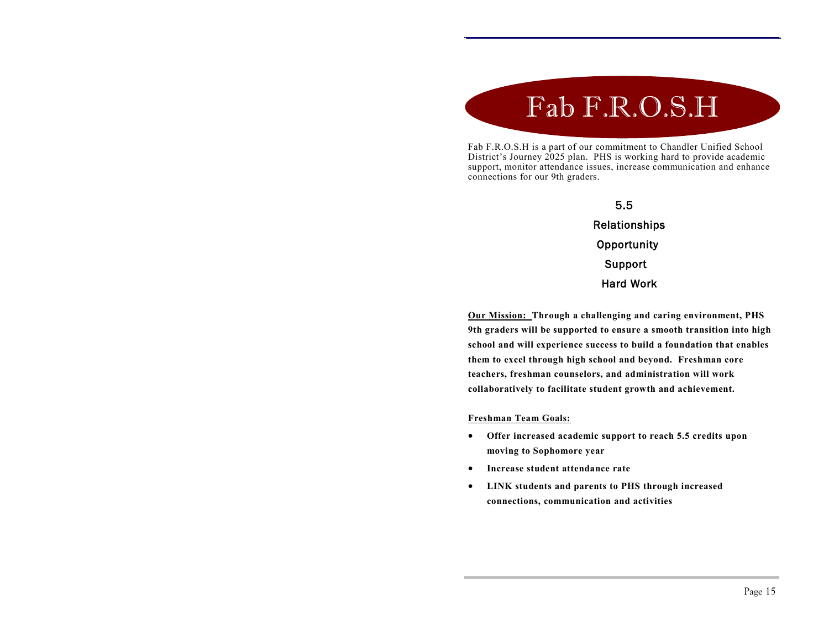# Fab F.R.O.S.H

Fab F.R.O.S.H is a part of our commitment to Chandler Unified School District's Journey 2025 plan. PHS is working hard to provide academic support, monitor attendance issues, increase communication and enhance connections for our 9th graders.

#### 5.5 Relationships **Opportunity**  Support Hard Work

**Our Mission: Through a challenging and caring environment, PHS 9th graders will be supported to ensure a smooth transition into high school and will experience success to build a foundation that enables them to excel through high school and beyond. Freshman core teachers, freshman counselors, and administration will work collaboratively to facilitate student growth and achievement.** 

#### **Freshman Team Goals:**

- **Offer increased academic support to reach 5.5 credits upon moving to Sophomore year**
- **Increase student attendance rate**
- **LINK students and parents to PHS through increased connections, communication and activities**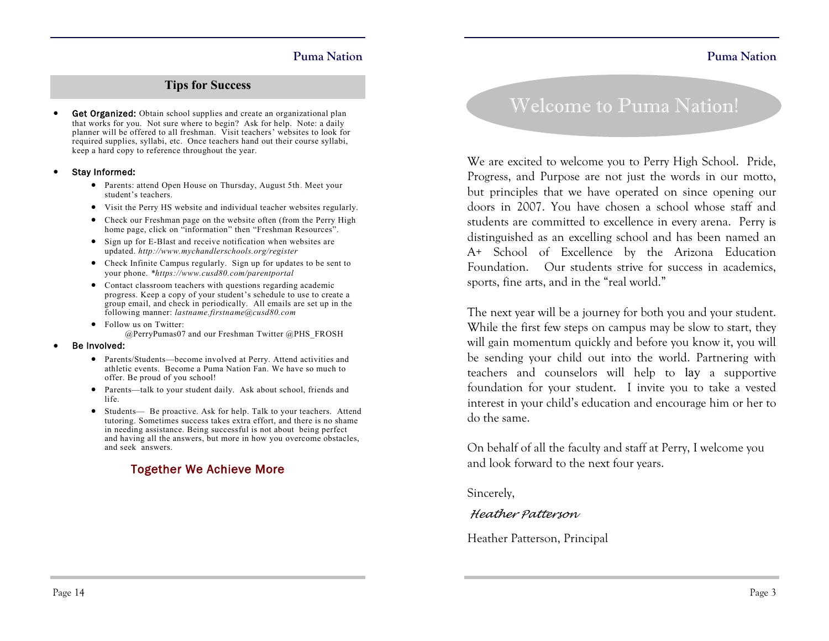#### **Tips for Success**

Get Organized: Obtain school supplies and create an organizational plan that works for you. Not sure where to begin? Ask for help. Note: a daily planner will be offered to all freshman. Visit teachers' websites to look for required supplies, syllabi, etc. Once teachers hand out their course syllabi, keep a hard copy to reference throughout the year.

#### Stay Informed:

- Parents: attend Open House on Thursday, August 5th. Meet your student's teachers.
- Visit the Perry HS website and individual teacher websites regularly.
- Check our Freshman page on the website often (from the Perry High home page, click on "information" then "Freshman Resources".
- Sign up for E-Blast and receive notification when websites are updated. *http://www.mychandlerschools.org/register*
- Check Infinite Campus regularly. Sign up for updates to be sent to your phone. *\*https://www.cusd80.com/parentportal*
- Contact classroom teachers with questions regarding academic progress. Keep a copy of your student's schedule to use to create a group email, and check in periodically. All emails are set up in the following manner: *lastname.firstname@cusd80.com*
- Follow us on Twitter: @PerryPumas07 and our Freshman Twitter @PHS\_FROSH

#### Be Involved:

- Parents/Students—become involved at Perry. Attend activities and athletic events. Become a Puma Nation Fan. We have so much to offer. Be proud of you school!
- Parents—talk to your student daily. Ask about school, friends and life.
- Students— Be proactive. Ask for help. Talk to your teachers. Attend tutoring. Sometimes success takes extra effort, and there is no shame in needing assistance. Being successful is not about being perfect and having all the answers, but more in how you overcome obstacles, and seek answers.

#### Together We Achieve More

### Welcome to Puma Nation!

We are excited to welcome you to Perry High School. Pride, Progress, and Purpose are not just the words in our motto, but principles that we have operated on since opening our doors in 2007. You have chosen a school whose staff and students are committed to excellence in every arena. Perry is distinguished as an excelling school and has been named an A+ School of Excellence by the Arizona Education Foundation. Our students strive for success in academics, sports, fine arts, and in the "real world."

The next year will be a journey for both you and your student. While the first few steps on campus may be slow to start, they will gain momentum quickly and before you know it, you will be sending your child out into the world. Partnering with teachers and counselors will help to lay a supportive foundation for your student. I invite you to take a vested interest in your child's education and encourage him or her to do the same.

On behalf of all the faculty and staff at Perry, I welcome you and look forward to the next four years.

Sincerely,

#### *Heather Patterson*

Heather Patterson, Principal

**Puma Nation**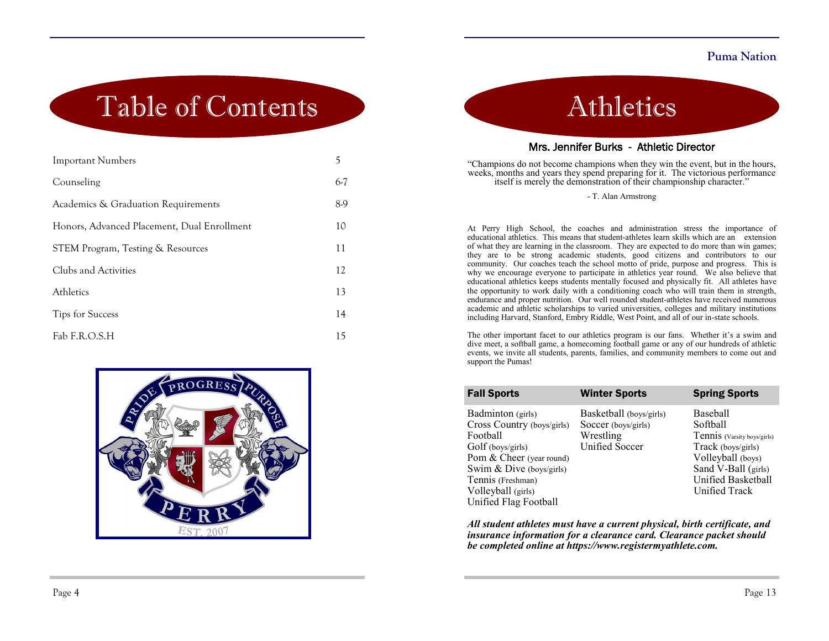## Table of Contents

| <b>Important Numbers</b>                    | 5     |
|---------------------------------------------|-------|
| Counseling                                  | $6-7$ |
| Academics & Graduation Requirements         | 8.9   |
| Honors, Advanced Placement, Dual Enrollment | 10    |
| STEM Program, Testing & Resources           | 11    |
| Clubs and Activities                        | 12    |
| Athletics                                   | 13    |
| <b>Tips for Success</b>                     | 14    |
| Fab F.R.O.S.H                               | 15    |



Athletics

#### Mrs. Jennifer Burks - Athletic Director

"Champions do not become champions when they win the event, but in the hours, weeks, months and years they spend preparing for it. The victorious performance itself is merely the demonstration of their championship character."

- T. Alan Armstrong

At Perry High School, the coaches and administration stress the importance of educational athletics. This means that student-athletes learn skills which are an extension of what they are learning in the classroom. They are expected to do more than win games; they are to be strong academic students, good citizens and contributors to our community. Our coaches teach the school motto of pride, purpose and progress. This is why we encourage everyone to participate in athletics year round. We also believe that educational athletics keeps students mentally focused and physically fit. All athletes have the opportunity to work daily with a conditioning coach who will train them in strength, endurance and proper nutrition. Our well rounded student-athletes have received numerous academic and athletic scholarships to varied universities, colleges and military institutions including Harvard, Stanford, Embry Riddle, West Point, and all of our in-state schools.

The other important facet to our athletics program is our fans. Whether it's a swim and dive meet, a softball game, a homecoming football game or any of our hundreds of athletic events, we invite all students, parents, families, and community members to come out and support the Pumas!

| <b>Fall Sports</b>                                                                                                                                                                                           | <b>Winter Sports</b>                                                                 | <b>Spring Sports</b>                                                                                                                                         |
|--------------------------------------------------------------------------------------------------------------------------------------------------------------------------------------------------------------|--------------------------------------------------------------------------------------|--------------------------------------------------------------------------------------------------------------------------------------------------------------|
| Badminton (girls)<br>Cross Country (boys/girls)<br>Football<br>Golf (boys/girls)<br>Pom & Cheer (year round)<br>Swim & Dive (boys/girls)<br>Tennis (Freshman)<br>Volleyball (girls)<br>Unified Flag Football | Basketball (boys/girls)<br>Soccer (boys/girls)<br>Wrestling<br><b>Unified Soccer</b> | Baseball<br>Softball<br>Tennis (Varsity boys/girls)<br>Track (boys/girls)<br>Volleyball (boys)<br>Sand V-Ball (girls)<br>Unified Basketball<br>Unified Track |

*All student athletes must have a current physical, birth certificate, and insurance information for a clearance card. Clearance packet should be completed online at [https://www.registermyathlete.com.](https://www.registermyathlete.com/)*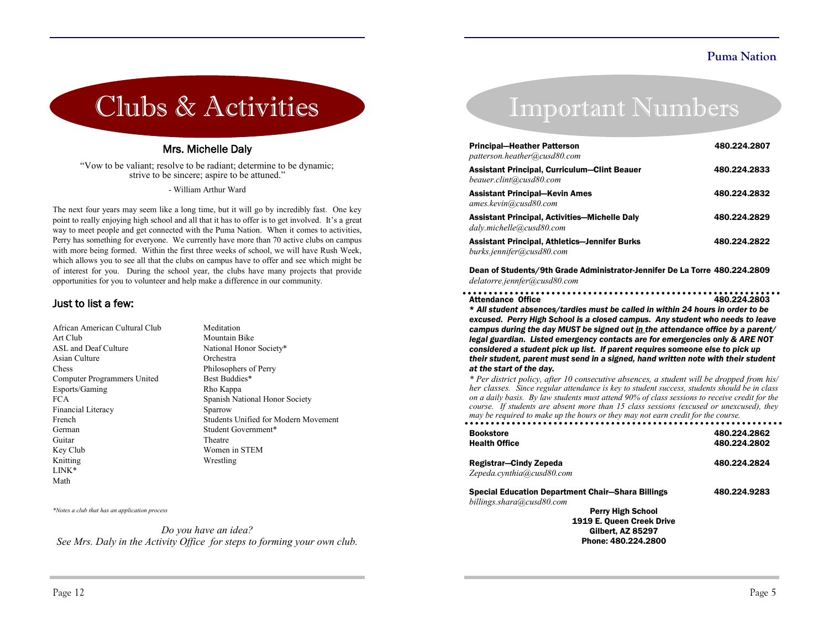# Clubs & Activities

#### Mrs. Michelle Daly

"Vow to be valiant; resolve to be radiant; determine to be dynamic; strive to be sincere; aspire to be attuned."

- William Arthur Ward

The next four years may seem like a long time, but it will go by incredibly fast. One key point to really enjoying high school and all that it has to offer is to get involved. It's a great way to meet people and get connected with the Puma Nation. When it comes to activities, Perry has something for everyone. We currently have more than 70 active clubs on campus with more being formed. Within the first three weeks of school, we will have Rush Week, which allows you to see all that the clubs on campus have to offer and see which might be of interest for you. During the school year, the clubs have many projects that provide opportunities for you to volunteer and help make a difference in our community.

#### Just to list a few:

| African American Cultural Club | Meditation                           |
|--------------------------------|--------------------------------------|
| Art Club                       | Mountain Bike                        |
| ASL and Deaf Culture           | National Honor Society*              |
| Asian Culture                  | Orchestra                            |
| Chess                          | Philosophers of Perry                |
| Computer Programmers United    | Best Buddies*                        |
| Esports/Gaming                 | Rho Kappa                            |
| FCA.                           | Spanish National Honor Society       |
| Financial Literacy             | Sparrow                              |
| French                         | Students Unified for Modern Movement |
| German                         | Student Government*                  |
| Guitar                         | Theatre                              |
| Key Club                       | Women in STEM                        |
| Knitting                       | Wrestling                            |
| $LINK*$                        |                                      |
| Math                           |                                      |

*\*Notes a club that has an application process*

*Do you have an idea? See Mrs. Daly in the Activity Office for steps to forming your own club.*

### Important Numbers

| <b>Principal-Heather Patterson</b><br>patterson.heather@cusd80.com                | 480.224.2807 |
|-----------------------------------------------------------------------------------|--------------|
| <b>Assistant Principal, Curriculum–Clint Beauer</b><br>beauer.clint@cusd80.com    | 480.224.2833 |
| <b>Assistant Principal-Kevin Ames</b><br>ames.kevin@cusd80.com                    | 480.224.2832 |
| <b>Assistant Principal, Activities-Michelle Daly</b><br>dalv.michelle@cusd80.com  | 480.224.2829 |
| <b>Assistant Principal, Athletics-Jennifer Burks</b><br>burks.jennifer@cusd80.com | 480.224.2822 |

Dean of Students/9th Grade Administrator-Jennifer De La Torre 480.224.2809 *delatorre.jennfer@cusd80.com*

| <b>Attendance Office</b> | 480.224.2803 |
|--------------------------|--------------|

\* *All student absences/tardies must be called in within 24 hours in order to be excused. Perry High School is a closed campus. Any student who needs to leave campus during the day MUST be signed out in the attendance office by a parent/ legal guardian. Listed emergency contacts are for emergencies only & ARE NOT considered a student pick up list. If parent requires someone else to pick up their student, parent must send in a signed, hand written note with their student at the start of the day.*

*\* Per district policy, after 10 consecutive absences, a student will be dropped from his/ her classes. Since regular attendance is key to student success, students should be in class on a daily basis. By law students must attend 90% of class sessions to receive credit for the course. If students are absent more than 15 class sessions (excused or unexcused), they may be required to make up the hours or they may not earn credit for the course.* 

| <b>Bookstore</b>                                         | 480.224.2862 |
|----------------------------------------------------------|--------------|
| <b>Health Office</b>                                     | 480.224.2802 |
| Registrar-Cindy Zepeda                                   | 480.224.2824 |
| Zepeda.cynthia@cusd80.com                                |              |
| <b>Special Education Department Chair-Shara Billings</b> | 480.224.9283 |
| billings.shara@cusd80.com                                |              |
| <b>Perry High School</b>                                 |              |
| 1919 E. Queen Creek Drive                                |              |
| <b>Gilbert, AZ 85297</b>                                 |              |
| Phone: 480.224.2800                                      |              |
|                                                          |              |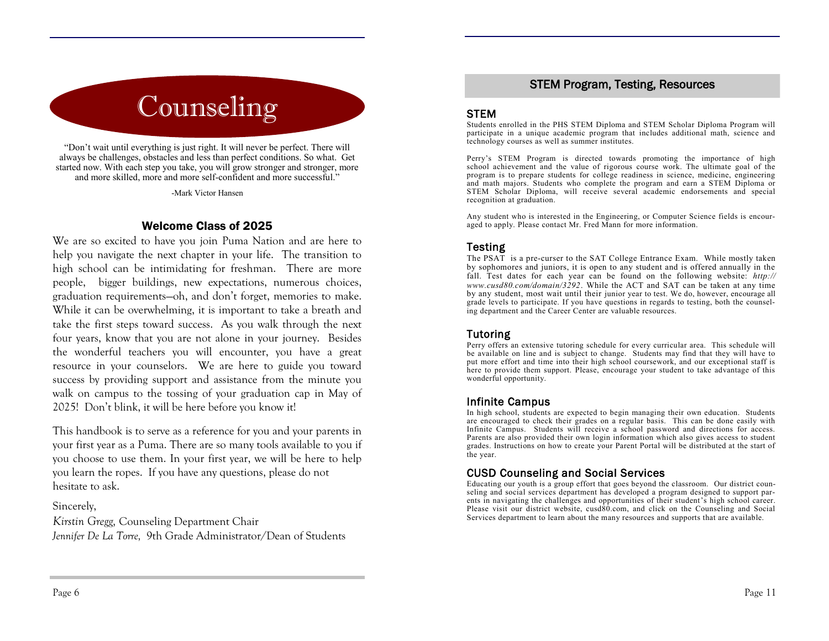## Counseling

"Don't wait until everything is just right. It will never be perfect. There will always be challenges, obstacles and less than perfect conditions. So what. Get started now. With each step you take, you will grow stronger and stronger, more and more skilled, more and more self-confident and more successful."

-Mark Victor Hansen

#### Welcome Class of 2025

We are so excited to have you join Puma Nation and are here to help you navigate the next chapter in your life. The transition to high school can be intimidating for freshman. There are more people, bigger buildings, new expectations, numerous choices, graduation requirements—oh, and don't forget, memories to make. While it can be overwhelming, it is important to take a breath and take the first steps toward success. As you walk through the next four years, know that you are not alone in your journey. Besides the wonderful teachers you will encounter, you have a great resource in your counselors. We are here to guide you toward success by providing support and assistance from the minute you walk on campus to the tossing of your graduation cap in May of 2025! Don't blink, it will be here before you know it!

This handbook is to serve as a reference for you and your parents in your first year as a Puma. There are so many tools available to you if you choose to use them. In your first year, we will be here to help you learn the ropes. If you have any questions, please do not hesitate to ask.

#### Sincerely,

*Kirstin Gregg,* Counseling Department Chair *Jennifer De La Torre,* 9th Grade Administrator/Dean of Students

#### STEM Program, Testing, Resources

#### **STEM**

Students enrolled in the PHS STEM Diploma and STEM Scholar Diploma Program will participate in a unique academic program that includes additional math, science and technology courses as well as summer institutes.

Perry's STEM Program is directed towards promoting the importance of high school achievement and the value of rigorous course work. The ultimate goal of the program is to prepare students for college readiness in science, medicine, engineering and math majors. Students who complete the program and earn a STEM Diploma or STEM Scholar Diploma, will receive several academic endorsements and special recognition at graduation.

Any student who is interested in the Engineering, or Computer Science fields is encouraged to apply. Please contact Mr. Fred Mann for more information.

#### **Testing**

The PSAT is a pre-curser to the SAT College Entrance Exam. While mostly taken by sophomores and juniors, it is open to any student and is offered annually in the fall. Test dates for each year can be found on the following website: *http:// www.cusd80.com/domain/3292*. While the ACT and SAT can be taken at any time by any student, most wait until their junior year to test. We do, however, encourage all grade levels to participate. If you have questions in regards to testing, both the counseling department and the Career Center are valuable resources.

#### Tutoring

Perry offers an extensive tutoring schedule for every curricular area. This schedule will be available on line and is subject to change. Students may find that they will have to put more effort and time into their high school coursework, and our exceptional staff is here to provide them support. Please, encourage your student to take advantage of this wonderful opportunity.

#### Infinite Campus

In high school, students are expected to begin managing their own education. Students are encouraged to check their grades on a regular basis. This can be done easily with Infinite Campus. Students will receive a school password and directions for access. Parents are also provided their own login information which also gives access to student grades. Instructions on how to create your Parent Portal will be distributed at the start of the year.

#### CUSD Counseling and Social Services

Educating our youth is a group effort that goes beyond the classroom. Our district counseling and social services department has developed a program designed to support parents in navigating the challenges and opportunities of their student's high school career. Please visit our district website, cusd80.com, and click on the Counseling and Social Services department to learn about the many resources and supports that are available.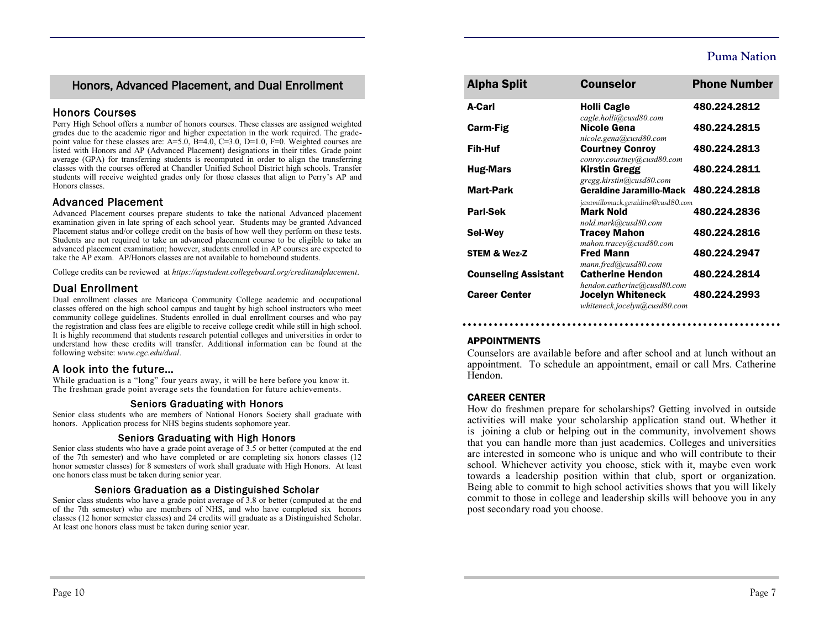#### Honors, Advanced Placement, and Dual Enrollment

#### Honors Courses

Perry High School offers a number of honors courses. These classes are assigned weighted grades due to the academic rigor and higher expectation in the work required. The gradepoint value for these classes are:  $A=5.0$ ,  $B=4.0$ ,  $C=3.0$ ,  $D=1.0$ ,  $F=0$ . Weighted courses are listed with Honors and AP (Advanced Placement) designations in their titles. Grade point average (GPA) for transferring students is recomputed in order to align the transferring classes with the courses offered at Chandler Unified School District high schools. Transfer students will receive weighted grades only for those classes that align to Perry's AP and Honors classes.

#### Advanced Placement

Advanced Placement courses prepare students to take the national Advanced placement examination given in late spring of each school year. Students may be granted Advanced Placement status and/or college credit on the basis of how well they perform on these tests. Students are not required to take an advanced placement course to be eligible to take an advanced placement examination; however, students enrolled in AP courses are expected to take the AP exam. AP/Honors classes are not available to homebound students.

College credits can be reviewed at *https://apstudent.collegeboard.org/creditandplacement*.

#### Dual Enrollment

Dual enrollment classes are Maricopa Community College academic and occupational classes offered on the high school campus and taught by high school instructors who meet community college guidelines. Students enrolled in dual enrollment courses and who pay the registration and class fees are eligible to receive college credit while still in high school. It is highly recommend that students research potential colleges and universities in order to understand how these credits will transfer. Additional information can be found at the following website: *www.cgc.edu/dual*.

#### A look into the future…

While graduation is a "long" four years away, it will be here before you know it. The freshman grade point average sets the foundation for future achievements.

#### Seniors Graduating with Honors

Senior class students who are members of National Honors Society shall graduate with honors. Application process for NHS begins students sophomore year.

#### Seniors Graduating with High Honors

Senior class students who have a grade point average of 3.5 or better (computed at the end of the 7th semester) and who have completed or are completing six honors classes (12 honor semester classes) for 8 semesters of work shall graduate with High Honors. At least one honors class must be taken during senior year.

#### Seniors Graduation as a Distinguished Scholar

Senior class students who have a grade point average of 3.8 or better (computed at the end of the 7th semester) who are members of NHS, and who have completed six honors classes (12 honor semester classes) and 24 credits will graduate as a Distinguished Scholar. At least one honors class must be taken during senior year.

| <b>Alpha Split</b>          | <b>Counselor</b>                                                      | <b>Phone Number</b> |
|-----------------------------|-----------------------------------------------------------------------|---------------------|
| A-Carl                      | <b>Holli Cagle</b><br>cagle.holli@cusd80.com                          | 480.224.2812        |
| <b>Carm-Fig</b>             | Nicole Gena<br>nicole.gena@cusd80.com                                 | 480.224.2815        |
| Fih-Huf                     | <b>Courtney Conroy</b><br>conroy.courtney@cusd80.com                  | 480.224.2813        |
| <b>Hug-Mars</b>             | <b>Kirstin Gregg</b><br>gregg.kirstin@cusd80.com                      | 480.224.2811        |
| Mart-Park                   | <b>Geraldine Jaramillo-Mack</b><br>jaramillomack.geraldine@cusd80.com | 480.224.2818        |
| Parl-Sek                    | <b>Mark Nold</b><br>nold.mark@cusd80.com                              | 480.224.2836        |
| <b>Sel-Wev</b>              | <b>Tracey Mahon</b><br>mahon.tracey@cusd80.com                        | 480.224.2816        |
| <b>STEM &amp; Wez-Z</b>     | <b>Fred Mann</b><br>mann.fred@cusd80.com                              | 480.224.2947        |
| <b>Counseling Assistant</b> | <b>Catherine Hendon</b><br>hendon.catherine@cusd80.com                | 480.224.2814        |
| <b>Career Center</b>        | <b>Jocelyn Whiteneck</b><br>whiteneck.jocelyn@cusd80.com              | 480.224.2993        |

#### APPOINTMENTS

Counselors are available before and after school and at lunch without an appointment. To schedule an appointment, email or call Mrs. Catherine Hendon.

#### CAREER CENTER

How do freshmen prepare for scholarships? Getting involved in outside activities will make your scholarship application stand out. Whether it is joining a club or helping out in the community, involvement shows that you can handle more than just academics. Colleges and universities are interested in someone who is unique and who will contribute to their school. Whichever activity you choose, stick with it, maybe even work towards a leadership position within that club, sport or organization. Being able to commit to high school activities shows that you will likely commit to those in college and leadership skills will behoove you in any post secondary road you choose.